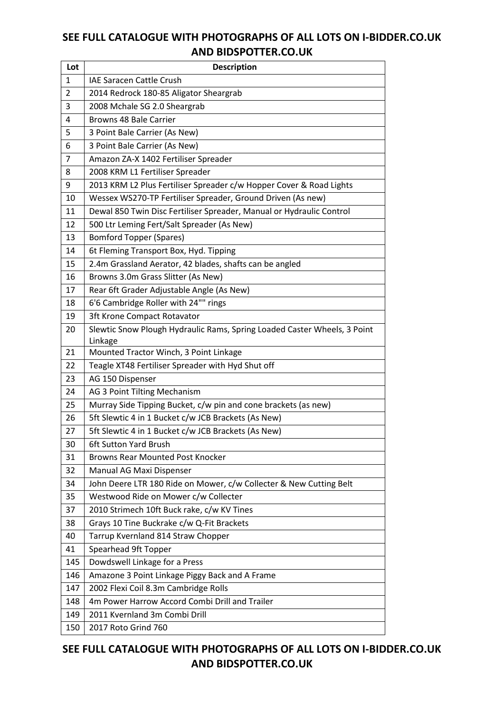| Lot            | <b>Description</b>                                                       |
|----------------|--------------------------------------------------------------------------|
| 1              | <b>IAE Saracen Cattle Crush</b>                                          |
| $\overline{2}$ | 2014 Redrock 180-85 Aligator Sheargrab                                   |
| 3              | 2008 Mchale SG 2.0 Sheargrab                                             |
| 4              | Browns 48 Bale Carrier                                                   |
| 5              | 3 Point Bale Carrier (As New)                                            |
| 6              | 3 Point Bale Carrier (As New)                                            |
| 7              | Amazon ZA-X 1402 Fertiliser Spreader                                     |
| 8              | 2008 KRM L1 Fertiliser Spreader                                          |
| 9              | 2013 KRM L2 Plus Fertiliser Spreader c/w Hopper Cover & Road Lights      |
| 10             | Wessex WS270-TP Fertiliser Spreader, Ground Driven (As new)              |
| 11             | Dewal 850 Twin Disc Fertiliser Spreader, Manual or Hydraulic Control     |
| 12             | 500 Ltr Leming Fert/Salt Spreader (As New)                               |
| 13             | <b>Bomford Topper (Spares)</b>                                           |
| 14             | 6t Fleming Transport Box, Hyd. Tipping                                   |
| 15             | 2.4m Grassland Aerator, 42 blades, shafts can be angled                  |
| 16             | Browns 3.0m Grass Slitter (As New)                                       |
| 17             | Rear 6ft Grader Adjustable Angle (As New)                                |
| 18             | 6'6 Cambridge Roller with 24"" rings                                     |
| 19             | 3ft Krone Compact Rotavator                                              |
| 20             | Slewtic Snow Plough Hydraulic Rams, Spring Loaded Caster Wheels, 3 Point |
|                | Linkage                                                                  |
| 21             | Mounted Tractor Winch, 3 Point Linkage                                   |
| 22             | Teagle XT48 Fertiliser Spreader with Hyd Shut off                        |
| 23             | AG 150 Dispenser                                                         |
| 24             | AG 3 Point Tilting Mechanism                                             |
| 25             | Murray Side Tipping Bucket, c/w pin and cone brackets (as new)           |
| 26             | 5ft Slewtic 4 in 1 Bucket c/w JCB Brackets (As New)                      |
| 27             | 5ft Slewtic 4 in 1 Bucket c/w JCB Brackets (As New)                      |
| 30             | 6ft Sutton Yard Brush                                                    |
| 31             | <b>Browns Rear Mounted Post Knocker</b>                                  |
| 32             | Manual AG Maxi Dispenser                                                 |
| 34             | John Deere LTR 180 Ride on Mower, c/w Collecter & New Cutting Belt       |
| 35             | Westwood Ride on Mower c/w Collecter                                     |
| 37             | 2010 Strimech 10ft Buck rake, c/w KV Tines                               |
| 38             | Grays 10 Tine Buckrake c/w Q-Fit Brackets                                |
| 40             | Tarrup Kvernland 814 Straw Chopper                                       |
| 41             | Spearhead 9ft Topper                                                     |
| 145            | Dowdswell Linkage for a Press                                            |
| 146            | Amazone 3 Point Linkage Piggy Back and A Frame                           |
| 147            | 2002 Flexi Coil 8.3m Cambridge Rolls                                     |
| 148            | 4m Power Harrow Accord Combi Drill and Trailer                           |
| 149            | 2011 Kvernland 3m Combi Drill                                            |
| 150            | 2017 Roto Grind 760                                                      |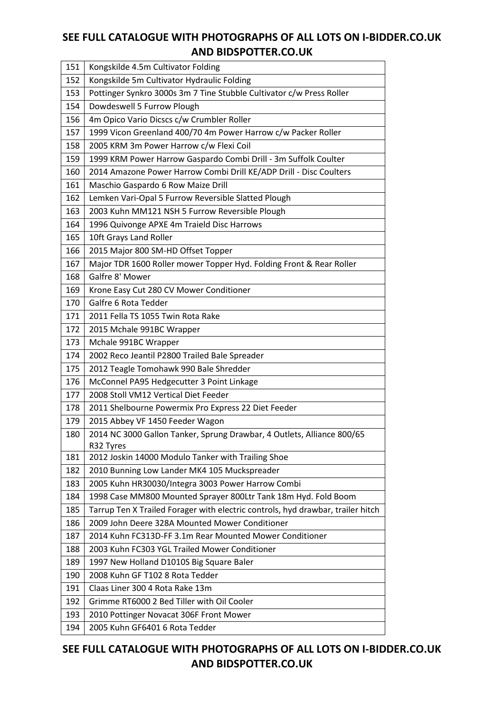| 151 | Kongskilde 4.5m Cultivator Folding                                              |
|-----|---------------------------------------------------------------------------------|
| 152 | Kongskilde 5m Cultivator Hydraulic Folding                                      |
| 153 | Pottinger Synkro 3000s 3m 7 Tine Stubble Cultivator c/w Press Roller            |
| 154 | Dowdeswell 5 Furrow Plough                                                      |
| 156 | 4m Opico Vario Dicscs c/w Crumbler Roller                                       |
| 157 | 1999 Vicon Greenland 400/70 4m Power Harrow c/w Packer Roller                   |
| 158 | 2005 KRM 3m Power Harrow c/w Flexi Coil                                         |
| 159 | 1999 KRM Power Harrow Gaspardo Combi Drill - 3m Suffolk Coulter                 |
| 160 | 2014 Amazone Power Harrow Combi Drill KE/ADP Drill - Disc Coulters              |
| 161 | Maschio Gaspardo 6 Row Maize Drill                                              |
| 162 | Lemken Vari-Opal 5 Furrow Reversible Slatted Plough                             |
| 163 | 2003 Kuhn MM121 NSH 5 Furrow Reversible Plough                                  |
| 164 | 1996 Quivonge APXE 4m Traield Disc Harrows                                      |
| 165 | 10ft Grays Land Roller                                                          |
| 166 | 2015 Major 800 SM-HD Offset Topper                                              |
| 167 | Major TDR 1600 Roller mower Topper Hyd. Folding Front & Rear Roller             |
| 168 | Galfre 8' Mower                                                                 |
| 169 | Krone Easy Cut 280 CV Mower Conditioner                                         |
| 170 | Galfre 6 Rota Tedder                                                            |
| 171 | 2011 Fella TS 1055 Twin Rota Rake                                               |
| 172 | 2015 Mchale 991BC Wrapper                                                       |
| 173 | Mchale 991BC Wrapper                                                            |
| 174 | 2002 Reco Jeantil P2800 Trailed Bale Spreader                                   |
| 175 | 2012 Teagle Tomohawk 990 Bale Shredder                                          |
| 176 | McConnel PA95 Hedgecutter 3 Point Linkage                                       |
| 177 | 2008 Stoll VM12 Vertical Diet Feeder                                            |
| 178 | 2011 Shelbourne Powermix Pro Express 22 Diet Feeder                             |
| 179 | 2015 Abbey VF 1450 Feeder Wagon                                                 |
| 180 | 2014 NC 3000 Gallon Tanker, Sprung Drawbar, 4 Outlets, Alliance 800/65          |
|     | R32 Tyres                                                                       |
| 181 | 2012 Joskin 14000 Modulo Tanker with Trailing Shoe                              |
| 182 | 2010 Bunning Low Lander MK4 105 Muckspreader                                    |
| 183 | 2005 Kuhn HR30030/Integra 3003 Power Harrow Combi                               |
| 184 | 1998 Case MM800 Mounted Sprayer 800Ltr Tank 18m Hyd. Fold Boom                  |
| 185 | Tarrup Ten X Trailed Forager with electric controls, hyd drawbar, trailer hitch |
| 186 | 2009 John Deere 328A Mounted Mower Conditioner                                  |
| 187 | 2014 Kuhn FC313D-FF 3.1m Rear Mounted Mower Conditioner                         |
| 188 | 2003 Kuhn FC303 YGL Trailed Mower Conditioner                                   |
| 189 | 1997 New Holland D1010S Big Square Baler                                        |
| 190 | 2008 Kuhn GF T102 8 Rota Tedder                                                 |
| 191 | Claas Liner 300 4 Rota Rake 13m                                                 |
| 192 | Grimme RT6000 2 Bed Tiller with Oil Cooler                                      |
| 193 | 2010 Pottinger Novacat 306F Front Mower                                         |
| 194 | 2005 Kuhn GF6401 6 Rota Tedder                                                  |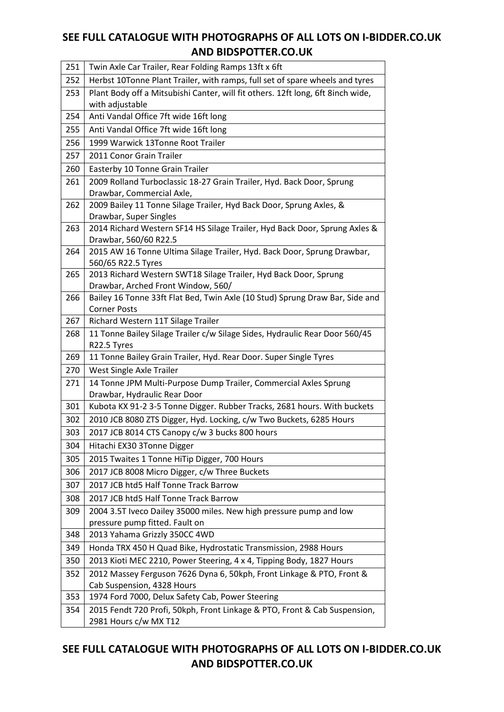| 251 | Twin Axle Car Trailer, Rear Folding Ramps 13ft x 6ft                                                               |
|-----|--------------------------------------------------------------------------------------------------------------------|
| 252 | Herbst 10Tonne Plant Trailer, with ramps, full set of spare wheels and tyres                                       |
| 253 | Plant Body off a Mitsubishi Canter, will fit others. 12ft long, 6ft 8inch wide,                                    |
|     | with adjustable                                                                                                    |
| 254 | Anti Vandal Office 7ft wide 16ft long                                                                              |
| 255 | Anti Vandal Office 7ft wide 16ft long                                                                              |
| 256 | 1999 Warwick 13Tonne Root Trailer                                                                                  |
| 257 | 2011 Conor Grain Trailer                                                                                           |
| 260 | Easterby 10 Tonne Grain Trailer                                                                                    |
| 261 | 2009 Rolland Turboclassic 18-27 Grain Trailer, Hyd. Back Door, Sprung<br>Drawbar, Commercial Axle,                 |
| 262 | 2009 Bailey 11 Tonne Silage Trailer, Hyd Back Door, Sprung Axles, &<br>Drawbar, Super Singles                      |
| 263 | 2014 Richard Western SF14 HS Silage Trailer, Hyd Back Door, Sprung Axles &                                         |
|     | Drawbar, 560/60 R22.5                                                                                              |
| 264 | 2015 AW 16 Tonne Ultima Silage Trailer, Hyd. Back Door, Sprung Drawbar,<br>560/65 R22.5 Tyres                      |
| 265 | 2013 Richard Western SWT18 Silage Trailer, Hyd Back Door, Sprung                                                   |
| 266 | Drawbar, Arched Front Window, 560/<br>Bailey 16 Tonne 33ft Flat Bed, Twin Axle (10 Stud) Sprung Draw Bar, Side and |
|     | <b>Corner Posts</b>                                                                                                |
| 267 | Richard Western 11T Silage Trailer                                                                                 |
| 268 | 11 Tonne Bailey Silage Trailer c/w Silage Sides, Hydraulic Rear Door 560/45                                        |
|     | R22.5 Tyres                                                                                                        |
| 269 | 11 Tonne Bailey Grain Trailer, Hyd. Rear Door. Super Single Tyres                                                  |
| 270 | West Single Axle Trailer                                                                                           |
| 271 | 14 Tonne JPM Multi-Purpose Dump Trailer, Commercial Axles Sprung<br>Drawbar, Hydraulic Rear Door                   |
| 301 | Kubota KX 91-2 3-5 Tonne Digger. Rubber Tracks, 2681 hours. With buckets                                           |
| 302 | 2010 JCB 8080 ZTS Digger, Hyd. Locking, c/w Two Buckets, 6285 Hours                                                |
| 303 | 2017 JCB 8014 CTS Canopy c/w 3 bucks 800 hours                                                                     |
| 304 | Hitachi EX30 3Tonne Digger                                                                                         |
| 305 | 2015 Twaites 1 Tonne HiTip Digger, 700 Hours                                                                       |
| 306 | 2017 JCB 8008 Micro Digger, c/w Three Buckets                                                                      |
| 307 | 2017 JCB htd5 Half Tonne Track Barrow                                                                              |
| 308 | 2017 JCB htd5 Half Tonne Track Barrow                                                                              |
| 309 | 2004 3.5T Iveco Dailey 35000 miles. New high pressure pump and low                                                 |
|     | pressure pump fitted. Fault on                                                                                     |
| 348 | 2013 Yahama Grizzly 350CC 4WD                                                                                      |
| 349 | Honda TRX 450 H Quad Bike, Hydrostatic Transmission, 2988 Hours                                                    |
| 350 | 2013 Kioti MEC 2210, Power Steering, 4 x 4, Tipping Body, 1827 Hours                                               |
| 352 | 2012 Massey Ferguson 7626 Dyna 6, 50kph, Front Linkage & PTO, Front &                                              |
|     | Cab Suspension, 4328 Hours                                                                                         |
| 353 | 1974 Ford 7000, Delux Safety Cab, Power Steering                                                                   |
| 354 | 2015 Fendt 720 Profi, 50kph, Front Linkage & PTO, Front & Cab Suspension,<br>2981 Hours c/w MX T12                 |